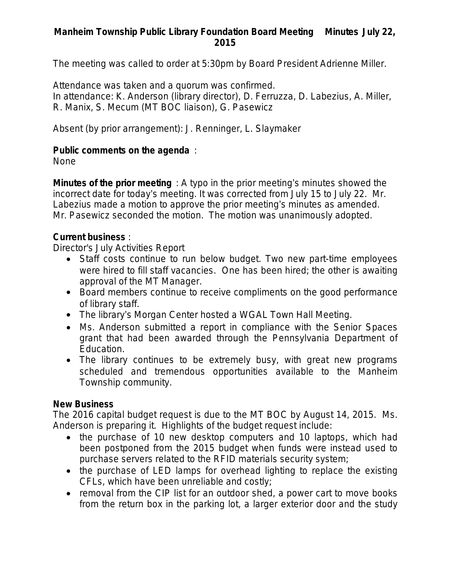## **Manheim Township Public Library Foundation Board Meeting Minutes July 22, 2015**

The meeting was called to order at 5:30pm by Board President Adrienne Miller.

Attendance was taken and a quorum was confirmed. In attendance: K. Anderson (library director), D. Ferruzza, D. Labezius, A. Miller, R. Manix, S. Mecum (MT BOC liaison), G. Pasewicz

Absent (by prior arrangement): J. Renninger, L. Slaymaker

### **Public comments on the agenda** :

None

**Minutes of the prior meeting** : A typo in the prior meeting's minutes showed the incorrect date for today's meeting. It was corrected from July 15 to July 22. Mr. Labezius made a motion to approve the prior meeting's minutes as amended. Mr. Pasewicz seconded the motion. The motion was unanimously adopted.

### **Current business** :

Director's July Activities Report

- Staff costs continue to run below budget. Two new part-time employees were hired to fill staff vacancies. One has been hired; the other is awaiting approval of the MT Manager.
- Board members continue to receive compliments on the good performance of library staff.
- The library's Morgan Center hosted a WGAL Town Hall Meeting.
- Ms. Anderson submitted a report in compliance with the Senior Spaces grant that had been awarded through the Pennsylvania Department of Education.
- The library continues to be extremely busy, with great new programs scheduled and tremendous opportunities available to the Manheim Township community.

### **New Business**

The 2016 capital budget request is due to the MT BOC by August 14, 2015. Ms. Anderson is preparing it. Highlights of the budget request include:

- the purchase of 10 new desktop computers and 10 laptops, which had been postponed from the 2015 budget when funds were instead used to purchase servers related to the RFID materials security system;
- the purchase of LED lamps for overhead lighting to replace the existing CFLs, which have been unreliable and costly;
- removal from the CIP list for an outdoor shed, a power cart to move books from the return box in the parking lot, a larger exterior door and the study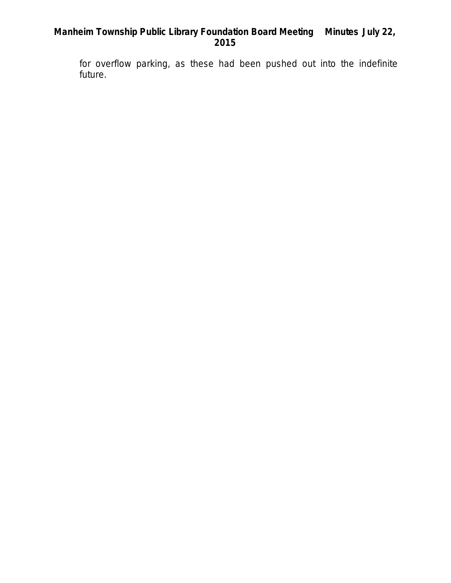# **Manheim Township Public Library Foundation Board Meeting Minutes July 22, 2015**

for overflow parking, as these had been pushed out into the indefinite future.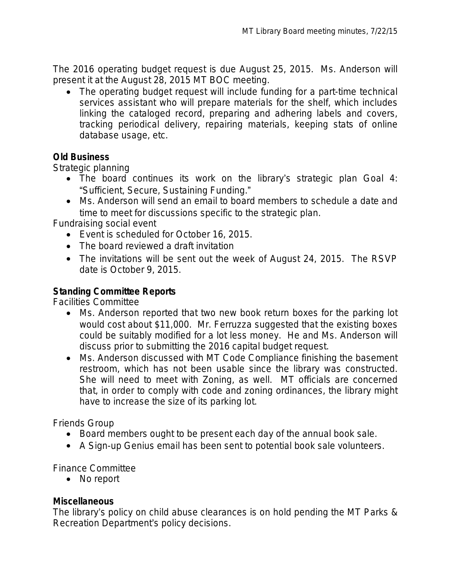The 2016 operating budget request is due August 25, 2015. Ms. Anderson will present it at the August 28, 2015 MT BOC meeting.

 The operating budget request will include funding for a part-time technical services assistant who will prepare materials for the shelf, which includes linking the cataloged record, preparing and adhering labels and covers, tracking periodical delivery, repairing materials, keeping stats of online database usage, etc.

### **Old Business**

Strategic planning

- The board continues its work on the library's strategic plan Goal 4: "Sufficient, Secure, Sustaining Funding."
- Ms. Anderson will send an email to board members to schedule a date and time to meet for discussions specific to the strategic plan.

Fundraising social event

- Event is scheduled for October 16, 2015.
- The board reviewed a draft invitation
- The invitations will be sent out the week of August 24, 2015. The RSVP date is October 9, 2015.

### **Standing Committee Reports**

Facilities Committee

- Ms. Anderson reported that two new book return boxes for the parking lot would cost about \$11,000. Mr. Ferruzza suggested that the existing boxes could be suitably modified for a lot less money. He and Ms. Anderson will discuss prior to submitting the 2016 capital budget request.
- Ms. Anderson discussed with MT Code Compliance finishing the basement restroom, which has not been usable since the library was constructed. She will need to meet with Zoning, as well. MT officials are concerned that, in order to comply with code and zoning ordinances, the library might have to increase the size of its parking lot.

Friends Group

- Board members ought to be present each day of the annual book sale.
- A Sign-up Genius email has been sent to potential book sale volunteers.

Finance Committee

• No report

### **Miscellaneous**

The library's policy on child abuse clearances is on hold pending the MT Parks & Recreation Department's policy decisions.